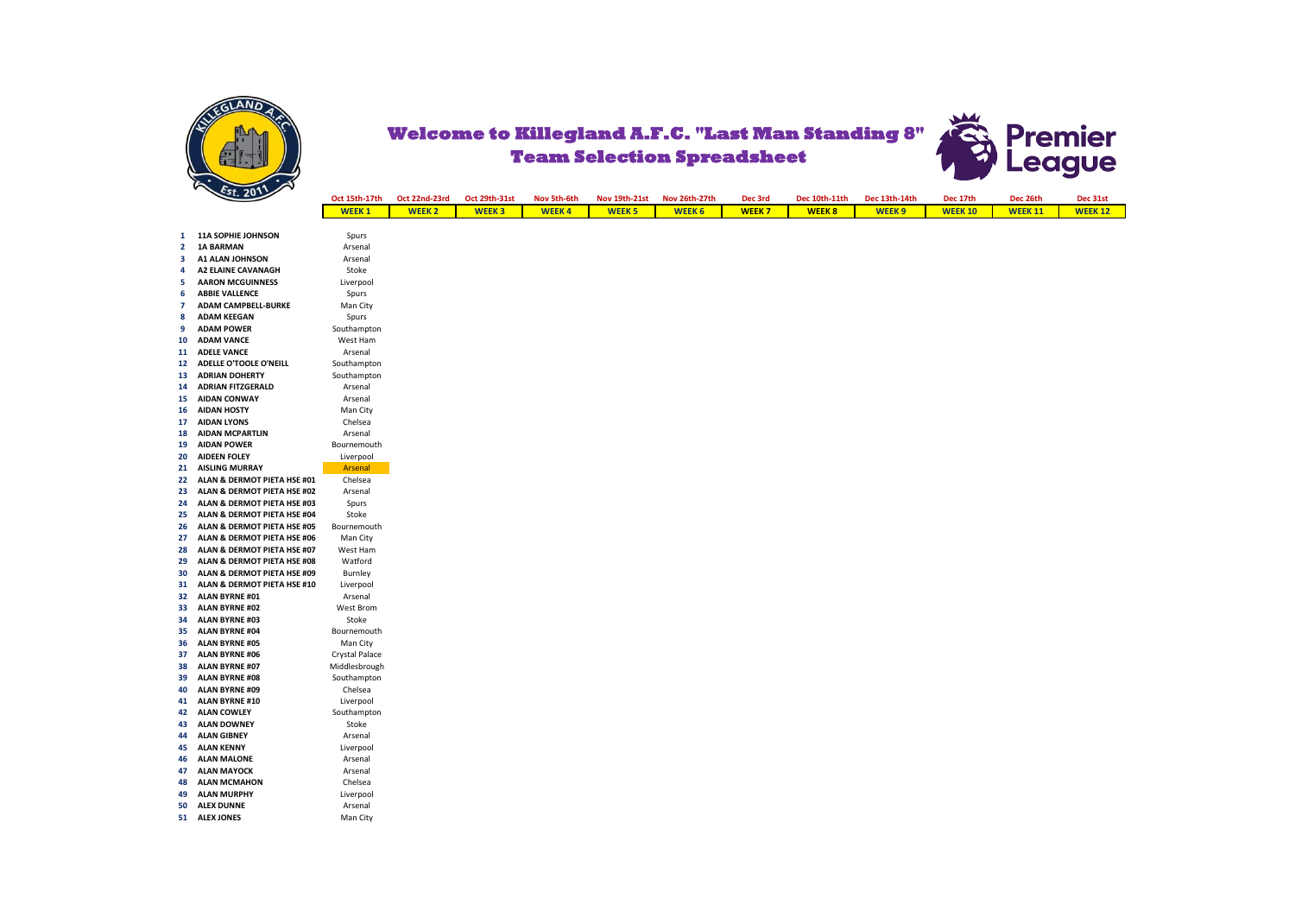



| Oct 15th-17th | Oct 22nd-23rd | Oct 29th-31st | Nov 5th-6th  | Nov 19th-21st Nov 26th-27th |                   | Dec 3rd       | Dec 10th-11th | Dec 13th-14th | Dec 17th       | Dec 26th       | Dec 31st      |
|---------------|---------------|---------------|--------------|-----------------------------|-------------------|---------------|---------------|---------------|----------------|----------------|---------------|
| <b>WEEK1</b>  | <b>WEEK 2</b> |               | <b>WEEK4</b> | WEEK <sub>5</sub>           | WEEK <sub>6</sub> | <b>WEEK 7</b> | <b>WEEK8</b>  | <b>WFFK 9</b> | <b>WEEK 10</b> | <b>WEEK 11</b> | <b>WEEK12</b> |

| $\mathbf{1}$   | 11A SOPHIE JOHNSON            | Spurs          |
|----------------|-------------------------------|----------------|
| $\overline{a}$ | <b>1A BARMAN</b>              | Arsenal        |
| 3              | <b>A1 ALAN JOHNSON</b>        | Arsenal        |
| 4              | <b>A2 ELAINE CAVANAGH</b>     | Stoke          |
| 5              | <b>AARON MCGUINNESS</b>       | Liverpool      |
| 6              | <b>ABBIE VALLENCE</b>         | Spurs          |
| 7              | <b>ADAM CAMPBELL-BURKE</b>    | Man City       |
| 8              | <b>ADAM KEEGAN</b>            | Spurs          |
| 9              | <b>ADAM POWER</b>             | Southampton    |
| 10             | <b>ADAM VANCE</b>             | West Ham       |
| 11             | <b>ADELE VANCE</b>            | Arsenal        |
| 12             | <b>ADELLE O'TOOLE O'NEILL</b> | Southampton    |
| 13             | <b>ADRIAN DOHERTY</b>         | Southampton    |
| 14             | <b>ADRIAN FITZGERALD</b>      | Arsenal        |
| 15             | <b>AIDAN CONWAY</b>           | Arsenal        |
| 16             | <b>AIDAN HOSTY</b>            | Man City       |
| 17             | <b>AIDAN LYONS</b>            | Chelsea        |
| 18             | <b>AIDAN MCPARTLIN</b>        | Arsenal        |
| 19             | <b>AIDAN POWER</b>            | Bournemouth    |
| 20             | <b>AIDEEN FOLEY</b>           | Liverpool      |
| 21             | <b>AISLING MURRAY</b>         | <b>Arsenal</b> |
| 22             | ALAN & DERMOT PIETA HSE #01   | Chelsea        |
| 23             | ALAN & DERMOT PIETA HSE #02   | Arsenal        |
| 24             | ALAN & DERMOT PIETA HSE #03   | Spurs          |
| 25             | ALAN & DERMOT PIETA HSE #04   | Stoke          |
| 26             | ALAN & DERMOT PIETA HSE #05   | Bournemouth    |
| 27             | ALAN & DERMOT PIETA HSE #06   | Man City       |
| 28             | ALAN & DERMOT PIETA HSE #07   | West Ham       |
| 29             | ALAN & DERMOT PIETA HSE #08   | Watford        |
| 30             | ALAN & DERMOT PIETA HSE #09   | Burnley        |
| 31             | ALAN & DERMOT PIETA HSE #10   | Liverpool      |
| 32             | <b>ALAN BYRNE#01</b>          | Arsenal        |
| 33             | <b>ALAN BYRNE #02</b>         | West Brom      |
| 34             | <b>ALAN BYRNE #03</b>         | Stoke          |
| 35             | <b>ALAN BYRNE #04</b>         | Bournemouth    |
| 36             | <b>ALAN BYRNE #05</b>         | Man City       |
| 37             | <b>ALAN BYRNE #06</b>         | Crystal Palace |
| 38             | <b>ALAN BYRNE#07</b>          | Middlesbrough  |
| 39             | <b>ALAN BYRNE #08</b>         | Southampton    |
| 40             | <b>ALAN BYRNE #09</b>         | Chelsea        |
| 41             | <b>ALAN BYRNE #10</b>         | Liverpool      |
| 42             | <b>ALAN COWLEY</b>            | Southampton    |
| 43             | <b>ALAN DOWNEY</b>            | Stoke          |
| 44             | <b>ALAN GIBNEY</b>            | Arsenal        |
| 45             | <b>ALAN KENNY</b>             | Liverpool      |
| 46             | <b>ALAN MALONE</b>            | Arsenal        |
| 47             | <b>ALAN MAYOCK</b>            | Arsenal        |
| 48             | <b>ALAN MCMAHON</b>           | Chelsea        |
| 49             | <b>ALAN MURPHY</b>            | Liverpool      |
| 50             | <b>ALEX DUNNE</b>             | Arsenal        |
|                |                               | Man City       |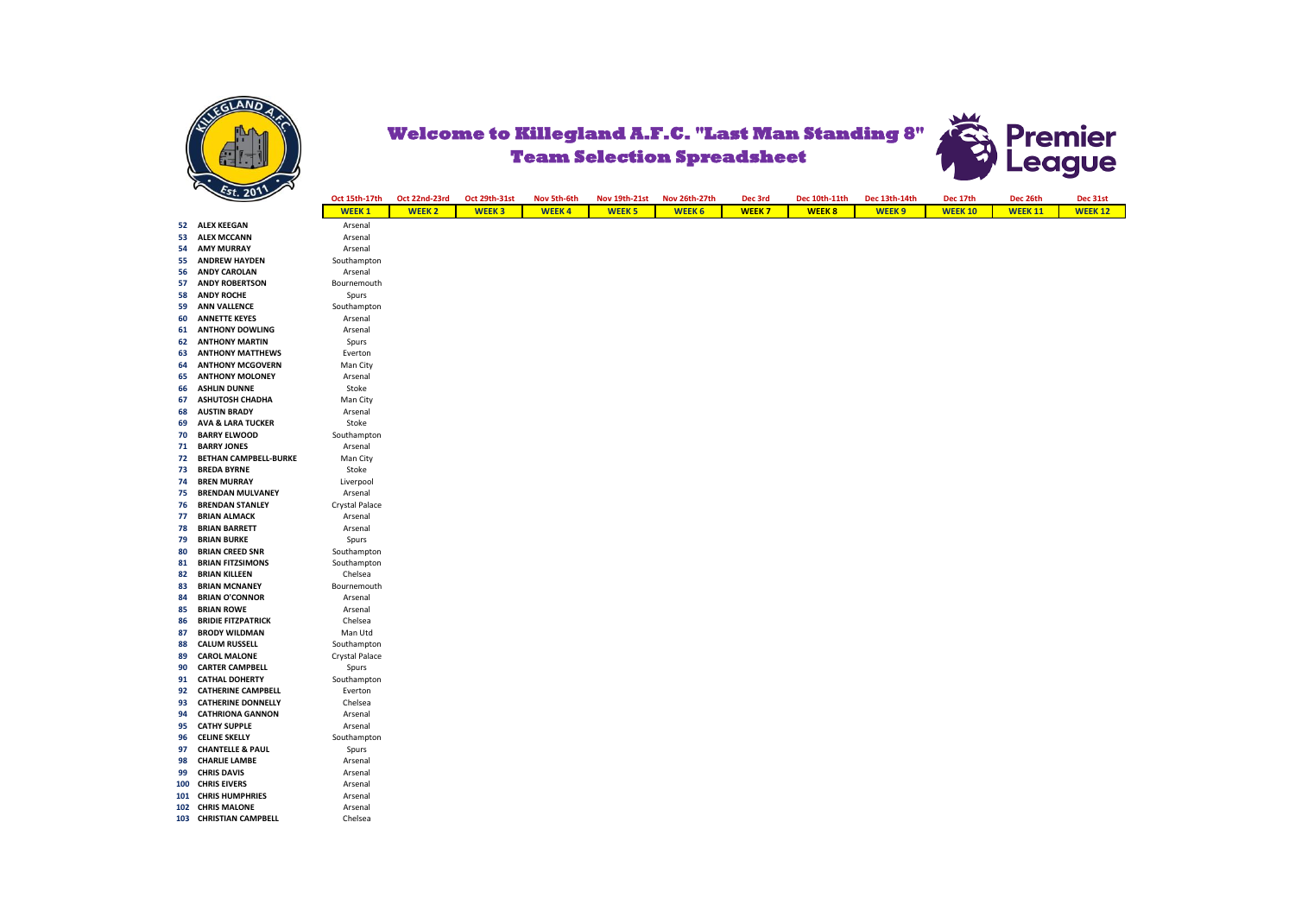

**56 ANDY CAROLAN** 

**62 ANTHONY MARTIN** 

## Premier **Welcome to Killegland A.F.C. "Last Man Standing 8" Team Selection Spreadsheet eague**



| ິ   |                              | LVEILU     |
|-----|------------------------------|------------|
| 64  | <b>ANTHONY MCGOVERN</b>      | Man Ci     |
| 65  | <b>ANTHONY MOLONEY</b>       | Arsena     |
| 66  | <b>ASHLIN DUNNE</b>          | Stoke      |
| 67  | <b>ASHUTOSH CHADHA</b>       | Man Ci     |
| 68  | <b>AUSTIN BRADY</b>          | Arsena     |
| 69  | <b>AVA &amp; LARA TUCKER</b> | Stoke      |
| 70  | <b>BARRY ELWOOD</b>          | Southam    |
| 71  | <b>BARRY JONES</b>           | Arsena     |
| 72  | <b>BETHAN CAMPBELL-BURKE</b> | Man Ci     |
| 73  | <b>BREDA BYRNE</b>           | Stoke      |
| 74  | <b>BREN MURRAY</b>           | Liverpo    |
| 75  | <b>BRENDAN MULVANEY</b>      | Arsena     |
| 76  | <b>BRENDAN STANLEY</b>       | Crystal Pa |
| 77  | <b>BRIAN ALMACK</b>          | Arsena     |
| 78  | <b>BRIAN BARRETT</b>         | Arsena     |
| 79  | <b>BRIAN BURKE</b>           | Spurs      |
| 80  | <b>BRIAN CREED SNR</b>       | Southam    |
| 81  | <b>BRIAN FITZSIMONS</b>      | Southam    |
| 82  | <b>BRIAN KILLEEN</b>         | Chelse     |
| 83  | <b>BRIAN MCNANEY</b>         | Bournem    |
| 84  | <b>BRIAN O'CONNOR</b>        | Arsena     |
| 85  | <b>BRIAN ROWE</b>            | Arsena     |
| 86  | <b>BRIDIE FITZPATRICK</b>    | Chelse     |
| 87  | <b>BRODY WILDMAN</b>         | Man Ut     |
| 88  | <b>CALUM RUSSELL</b>         | Southamp   |
| 89  | <b>CAROL MALONE</b>          | Crystal Pa |
| 90  | <b>CARTER CAMPBELL</b>       | Spurs      |
| 91  | <b>CATHAL DOHERTY</b>        | Southam    |
| 92  | <b>CATHERINE CAMPBELL</b>    | Everto     |
| 93  | <b>CATHERINE DONNELLY</b>    | Chelse     |
| 94  | <b>CATHRIONA GANNON</b>      | Arsena     |
| 95  | <b>CATHY SUPPLE</b>          | Arsena     |
| 96  | <b>CELINE SKELLY</b>         | Southam    |
| 97  | <b>CHANTELLE &amp; PAUL</b>  | Spurs      |
| 98  | <b>CHARLIE LAMBE</b>         | Arsena     |
| 99  | <b>CHRIS DAVIS</b>           | Arsena     |
| 100 | <b>CHRIS EIVERS</b>          | Arsena     |
| 101 | <b>CHRIS HUMPHRIES</b>       | Arsena     |
| 102 | <b>CHRIS MALONE</b>          | Arsena     |
|     | 103 CHRISTIAN CAMPBELL       | Chelse     |
|     |                              |            |

**Chelsea**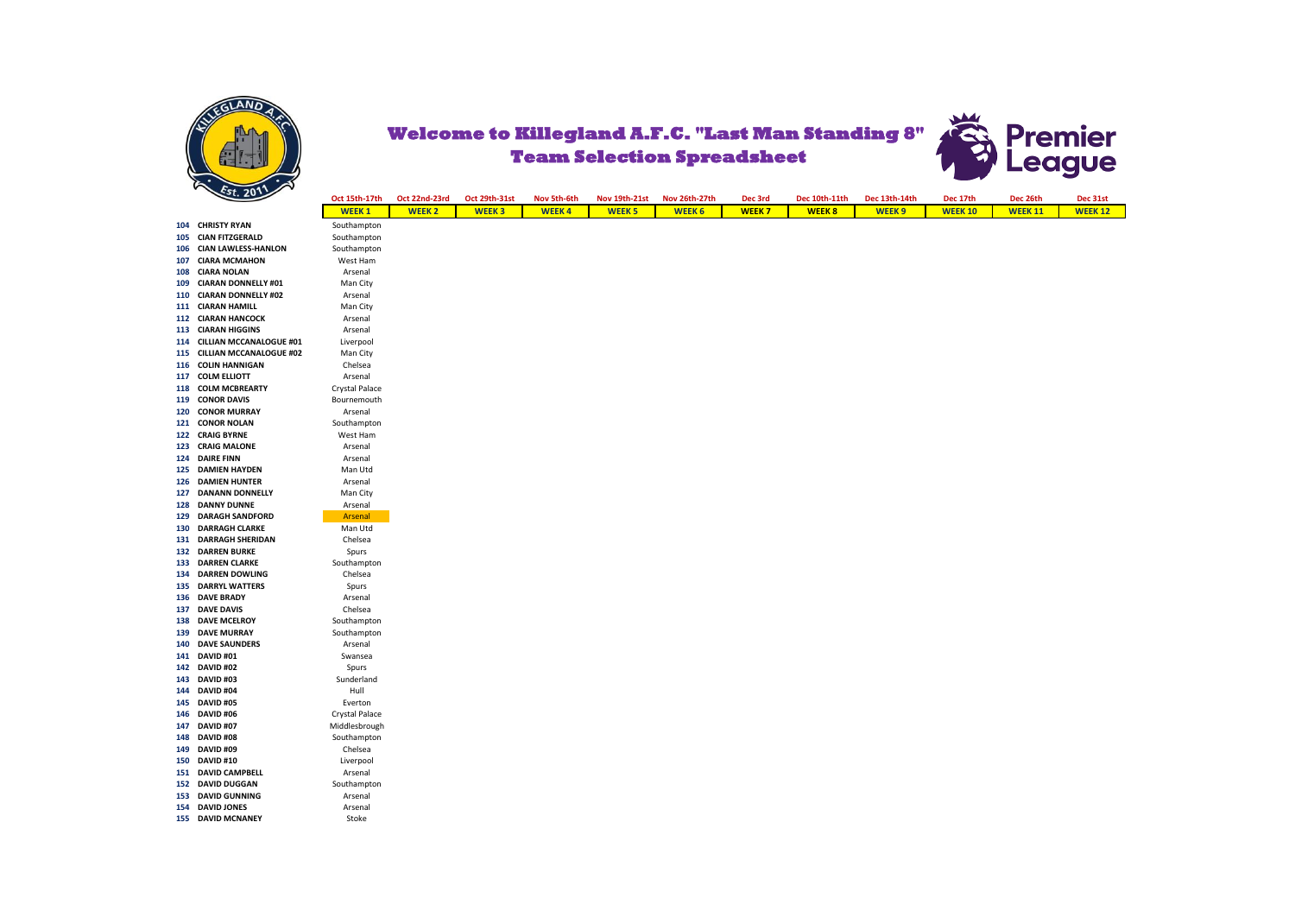



|     | $\frac{1}{2}$                              | Oct 15th-17th    | Oct 22nd-23rd | Oct 29th-31st | Nov 5th-6th  | <b>Nov 19th-21st</b> | Nov 26th-27th | Dec 3rd      | Dec 10th-11th | Dec 13th-14th | Dec 17th       | Dec 26th       | Dec 31st       |
|-----|--------------------------------------------|------------------|---------------|---------------|--------------|----------------------|---------------|--------------|---------------|---------------|----------------|----------------|----------------|
|     |                                            | <b>WEEK1</b>     | <b>WEEK 2</b> | <b>WEEK3</b>  | <b>WEEK4</b> | <b>WEEK 5</b>        | <b>WEEK 6</b> | <b>WEEK7</b> | <b>WEEK8</b>  | <b>WEEK 9</b> | <b>WEEK 10</b> | <b>WEEK 11</b> | <b>WEEK 12</b> |
| 104 | <b>CHRISTY RYAN</b>                        | Southampton      |               |               |              |                      |               |              |               |               |                |                |                |
| 105 | <b>CIAN FITZGERALD</b>                     | Southampton      |               |               |              |                      |               |              |               |               |                |                |                |
| 106 | <b>CIAN LAWLESS-HANLON</b>                 | Southampton      |               |               |              |                      |               |              |               |               |                |                |                |
| 107 | <b>CIARA MCMAHON</b>                       | West Ham         |               |               |              |                      |               |              |               |               |                |                |                |
| 108 | <b>CIARA NOLAN</b>                         | Arsenal          |               |               |              |                      |               |              |               |               |                |                |                |
| 109 | <b>CIARAN DONNELLY #01</b>                 | Man City         |               |               |              |                      |               |              |               |               |                |                |                |
| 110 | <b>CIARAN DONNELLY #02</b>                 | Arsenal          |               |               |              |                      |               |              |               |               |                |                |                |
|     | 111 CIARAN HAMILL                          | Man City         |               |               |              |                      |               |              |               |               |                |                |                |
|     | 112 CIARAN HANCOCK                         | Arsenal          |               |               |              |                      |               |              |               |               |                |                |                |
| 113 | <b>CIARAN HIGGINS</b>                      | Arsenal          |               |               |              |                      |               |              |               |               |                |                |                |
| 114 | CILLIAN MCCANALOGUE #01                    | Liverpool        |               |               |              |                      |               |              |               |               |                |                |                |
|     | 115 CILLIAN MCCANALOGUE #02                | Man City         |               |               |              |                      |               |              |               |               |                |                |                |
| 116 | <b>COLIN HANNIGAN</b>                      | Chelsea          |               |               |              |                      |               |              |               |               |                |                |                |
| 117 | <b>COLM ELLIOTT</b>                        | Arsenal          |               |               |              |                      |               |              |               |               |                |                |                |
| 118 | <b>COLM MCBREARTY</b>                      | Crystal Palace   |               |               |              |                      |               |              |               |               |                |                |                |
| 119 | <b>CONOR DAVIS</b>                         | Bournemouth      |               |               |              |                      |               |              |               |               |                |                |                |
| 120 | <b>CONOR MURRAY</b>                        | Arsenal          |               |               |              |                      |               |              |               |               |                |                |                |
|     | 121 CONOR NOLAN                            | Southampton      |               |               |              |                      |               |              |               |               |                |                |                |
| 122 | <b>CRAIG BYRNE</b>                         | West Ham         |               |               |              |                      |               |              |               |               |                |                |                |
| 123 | <b>CRAIG MALONE</b>                        | Arsenal          |               |               |              |                      |               |              |               |               |                |                |                |
| 124 | <b>DAIRE FINN</b>                          | Arsenal          |               |               |              |                      |               |              |               |               |                |                |                |
| 125 | <b>DAMIEN HAYDEN</b>                       | Man Utd          |               |               |              |                      |               |              |               |               |                |                |                |
| 126 | <b>DAMIEN HUNTER</b>                       | Arsenal          |               |               |              |                      |               |              |               |               |                |                |                |
| 127 | <b>DANANN DONNELLY</b>                     | Man City         |               |               |              |                      |               |              |               |               |                |                |                |
| 128 | <b>DANNY DUNNE</b>                         | Arsenal          |               |               |              |                      |               |              |               |               |                |                |                |
| 129 | <b>DARAGH SANDFORD</b>                     | Arsenal          |               |               |              |                      |               |              |               |               |                |                |                |
| 130 | <b>DARRAGH CLARKE</b>                      | Man Utd          |               |               |              |                      |               |              |               |               |                |                |                |
| 131 | <b>DARRAGH SHERIDAN</b>                    | Chelsea          |               |               |              |                      |               |              |               |               |                |                |                |
|     | <b>132 DARREN BURKE</b>                    | Spurs            |               |               |              |                      |               |              |               |               |                |                |                |
| 133 | <b>DARREN CLARKE</b>                       | Southampton      |               |               |              |                      |               |              |               |               |                |                |                |
| 134 | <b>DARREN DOWLING</b>                      | Chelsea          |               |               |              |                      |               |              |               |               |                |                |                |
| 135 | <b>DARRYL WATTERS</b>                      | Spurs            |               |               |              |                      |               |              |               |               |                |                |                |
| 136 | <b>DAVE BRADY</b>                          | Arsenal          |               |               |              |                      |               |              |               |               |                |                |                |
| 137 | <b>DAVE DAVIS</b>                          | Chelsea          |               |               |              |                      |               |              |               |               |                |                |                |
| 138 | <b>DAVE MCELROY</b>                        | Southampton      |               |               |              |                      |               |              |               |               |                |                |                |
| 139 | <b>DAVE MURRAY</b><br><b>DAVE SAUNDERS</b> | Southampton      |               |               |              |                      |               |              |               |               |                |                |                |
| 140 | 141 DAVID #01                              | Arsenal          |               |               |              |                      |               |              |               |               |                |                |                |
|     | 142 DAVID #02                              | Swansea<br>Spurs |               |               |              |                      |               |              |               |               |                |                |                |
| 143 | DAVID #03                                  | Sunderland       |               |               |              |                      |               |              |               |               |                |                |                |
| 144 | DAVID #04                                  | Hull             |               |               |              |                      |               |              |               |               |                |                |                |
| 145 | DAVID #05                                  | Everton          |               |               |              |                      |               |              |               |               |                |                |                |
| 146 | DAVID #06                                  | Crystal Palace   |               |               |              |                      |               |              |               |               |                |                |                |
| 147 | DAVID #07                                  | Middlesbrough    |               |               |              |                      |               |              |               |               |                |                |                |
| 148 | <b>DAVID #08</b>                           | Southampton      |               |               |              |                      |               |              |               |               |                |                |                |
| 149 | DAVID #09                                  | Chelsea          |               |               |              |                      |               |              |               |               |                |                |                |
| 150 | <b>DAVID #10</b>                           | Liverpool        |               |               |              |                      |               |              |               |               |                |                |                |
|     | 151 DAVID CAMPBELL                         | Arsenal          |               |               |              |                      |               |              |               |               |                |                |                |
| 152 | <b>DAVID DUGGAN</b>                        | Southampton      |               |               |              |                      |               |              |               |               |                |                |                |
| 153 | <b>DAVID GUNNING</b>                       | Arsenal          |               |               |              |                      |               |              |               |               |                |                |                |
|     | 154 DAVID JONES                            | Arsenal          |               |               |              |                      |               |              |               |               |                |                |                |
|     | 155 DAVID MCNANEY                          | Stoke            |               |               |              |                      |               |              |               |               |                |                |                |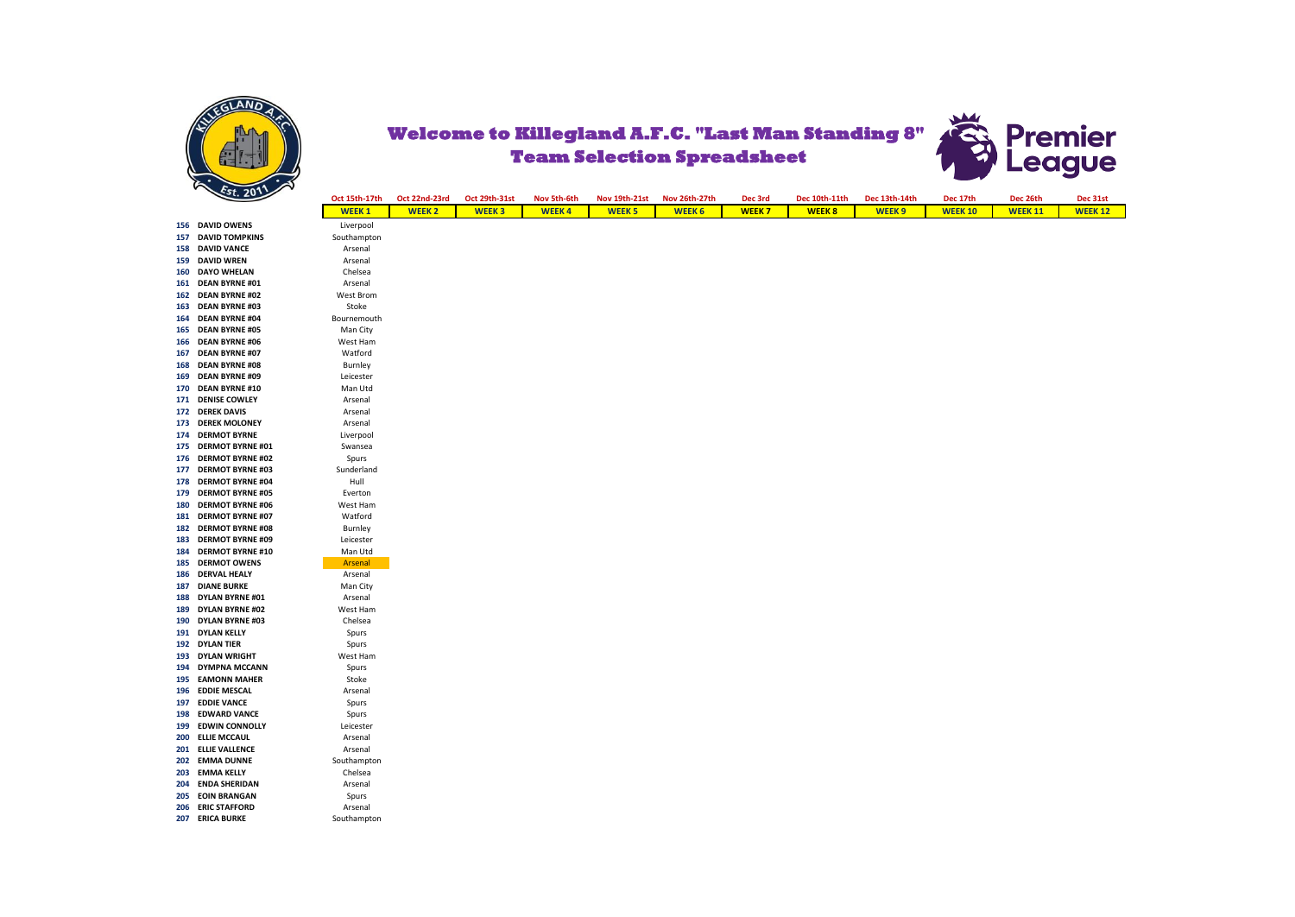



|     | $\sim$                  | Oct 15th-17th | Oct 22nd-23rd | Oct 29th-31st | Nov 5th-6th  | <b>Nov 19th-21st</b> | Nov 26th-27th | Dec 3rd      | Dec 10th-11th | Dec 13th-14th | Dec 17th       | Dec 26th       | Dec 31st       |
|-----|-------------------------|---------------|---------------|---------------|--------------|----------------------|---------------|--------------|---------------|---------------|----------------|----------------|----------------|
|     |                         | <b>WEEK1</b>  | <b>WEEK 2</b> | <b>WEEK3</b>  | <b>WEEK4</b> | <b>WEEK 5</b>        | <b>WEEK 6</b> | <b>WEEK7</b> | <b>WEEK8</b>  | <b>WEEK 9</b> | <b>WEEK 10</b> | <b>WEEK 11</b> | <b>WEEK 12</b> |
|     | 156 DAVID OWENS         | Liverpool     |               |               |              |                      |               |              |               |               |                |                |                |
| 157 | <b>DAVID TOMPKINS</b>   | Southampton   |               |               |              |                      |               |              |               |               |                |                |                |
| 158 | <b>DAVID VANCE</b>      | Arsenal       |               |               |              |                      |               |              |               |               |                |                |                |
| 159 | <b>DAVID WREN</b>       | Arsenal       |               |               |              |                      |               |              |               |               |                |                |                |
| 160 | <b>DAYO WHELAN</b>      | Chelsea       |               |               |              |                      |               |              |               |               |                |                |                |
| 161 | <b>DEAN BYRNE #01</b>   | Arsenal       |               |               |              |                      |               |              |               |               |                |                |                |
|     | 162 DEAN BYRNE #02      | West Brom     |               |               |              |                      |               |              |               |               |                |                |                |
| 163 | <b>DEAN BYRNE #03</b>   | Stoke         |               |               |              |                      |               |              |               |               |                |                |                |
| 164 | <b>DEAN BYRNE #04</b>   | Bournemouth   |               |               |              |                      |               |              |               |               |                |                |                |
| 165 | <b>DEAN BYRNE #05</b>   | Man City      |               |               |              |                      |               |              |               |               |                |                |                |
| 166 | <b>DEAN BYRNE #06</b>   | West Ham      |               |               |              |                      |               |              |               |               |                |                |                |
| 167 | <b>DEAN BYRNE #07</b>   | Watford       |               |               |              |                      |               |              |               |               |                |                |                |
| 168 | <b>DEAN BYRNE #08</b>   | Burnley       |               |               |              |                      |               |              |               |               |                |                |                |
| 169 | <b>DEAN BYRNE #09</b>   | Leicester     |               |               |              |                      |               |              |               |               |                |                |                |
| 170 | <b>DEAN BYRNE #10</b>   | Man Utd       |               |               |              |                      |               |              |               |               |                |                |                |
|     | 171 DENISE COWLEY       | Arsenal       |               |               |              |                      |               |              |               |               |                |                |                |
|     | 172 DEREK DAVIS         | Arsenal       |               |               |              |                      |               |              |               |               |                |                |                |
| 173 | <b>DEREK MOLONEY</b>    | Arsenal       |               |               |              |                      |               |              |               |               |                |                |                |
|     | 174 DERMOT BYRNE        | Liverpool     |               |               |              |                      |               |              |               |               |                |                |                |
| 175 | <b>DERMOT BYRNE #01</b> | Swansea       |               |               |              |                      |               |              |               |               |                |                |                |
|     | 176 DERMOT BYRNE #02    | Spurs         |               |               |              |                      |               |              |               |               |                |                |                |
| 177 | <b>DERMOT BYRNE #03</b> | Sunderland    |               |               |              |                      |               |              |               |               |                |                |                |
| 178 | <b>DERMOT BYRNE #04</b> | Hull          |               |               |              |                      |               |              |               |               |                |                |                |
| 179 | <b>DERMOT BYRNE #05</b> | Everton       |               |               |              |                      |               |              |               |               |                |                |                |
| 180 | <b>DERMOT BYRNE #06</b> | West Ham      |               |               |              |                      |               |              |               |               |                |                |                |
| 181 | <b>DERMOT BYRNE #07</b> | Watford       |               |               |              |                      |               |              |               |               |                |                |                |
| 182 | <b>DERMOT BYRNE #08</b> | Burnley       |               |               |              |                      |               |              |               |               |                |                |                |
| 183 | <b>DERMOT BYRNE #09</b> | Leicester     |               |               |              |                      |               |              |               |               |                |                |                |
| 184 | <b>DERMOT BYRNE #10</b> | Man Utd       |               |               |              |                      |               |              |               |               |                |                |                |
| 185 | <b>DERMOT OWENS</b>     | Arsenal       |               |               |              |                      |               |              |               |               |                |                |                |
| 186 | <b>DERVAL HEALY</b>     | Arsenal       |               |               |              |                      |               |              |               |               |                |                |                |
| 187 | <b>DIANE BURKE</b>      | Man City      |               |               |              |                      |               |              |               |               |                |                |                |
| 188 | <b>DYLAN BYRNE #01</b>  | Arsenal       |               |               |              |                      |               |              |               |               |                |                |                |
|     | 189 DYLAN BYRNE #02     | West Ham      |               |               |              |                      |               |              |               |               |                |                |                |
| 190 | <b>DYLAN BYRNE #03</b>  | Chelsea       |               |               |              |                      |               |              |               |               |                |                |                |
| 191 | <b>DYLAN KELLY</b>      | Spurs         |               |               |              |                      |               |              |               |               |                |                |                |
|     | 192 DYLAN TIER          | Spurs         |               |               |              |                      |               |              |               |               |                |                |                |
| 193 | <b>DYLAN WRIGHT</b>     | West Ham      |               |               |              |                      |               |              |               |               |                |                |                |
|     | 194 DYMPNA MCCANN       | Spurs         |               |               |              |                      |               |              |               |               |                |                |                |
| 195 | <b>EAMONN MAHER</b>     | Stoke         |               |               |              |                      |               |              |               |               |                |                |                |
| 196 | <b>EDDIE MESCAL</b>     | Arsenal       |               |               |              |                      |               |              |               |               |                |                |                |
| 197 | <b>EDDIE VANCE</b>      | Spurs         |               |               |              |                      |               |              |               |               |                |                |                |
| 198 | <b>EDWARD VANCE</b>     | Spurs         |               |               |              |                      |               |              |               |               |                |                |                |
| 199 | <b>EDWIN CONNOLLY</b>   | Leicester     |               |               |              |                      |               |              |               |               |                |                |                |
| 200 | <b>ELLIE MCCAUL</b>     | Arsenal       |               |               |              |                      |               |              |               |               |                |                |                |
|     | 201 ELLIE VALLENCE      | Arsenal       |               |               |              |                      |               |              |               |               |                |                |                |
|     | 202 EMMA DUNNE          | Southampton   |               |               |              |                      |               |              |               |               |                |                |                |
| 203 | <b>EMMA KELLY</b>       | Chelsea       |               |               |              |                      |               |              |               |               |                |                |                |
| 204 | <b>ENDA SHERIDAN</b>    | Arsenal       |               |               |              |                      |               |              |               |               |                |                |                |
| 205 | <b>EOIN BRANGAN</b>     | Spurs         |               |               |              |                      |               |              |               |               |                |                |                |
|     | 206 ERIC STAFFORD       | Arsenal       |               |               |              |                      |               |              |               |               |                |                |                |
|     | 207 ERICA BURKE         | Southampton   |               |               |              |                      |               |              |               |               |                |                |                |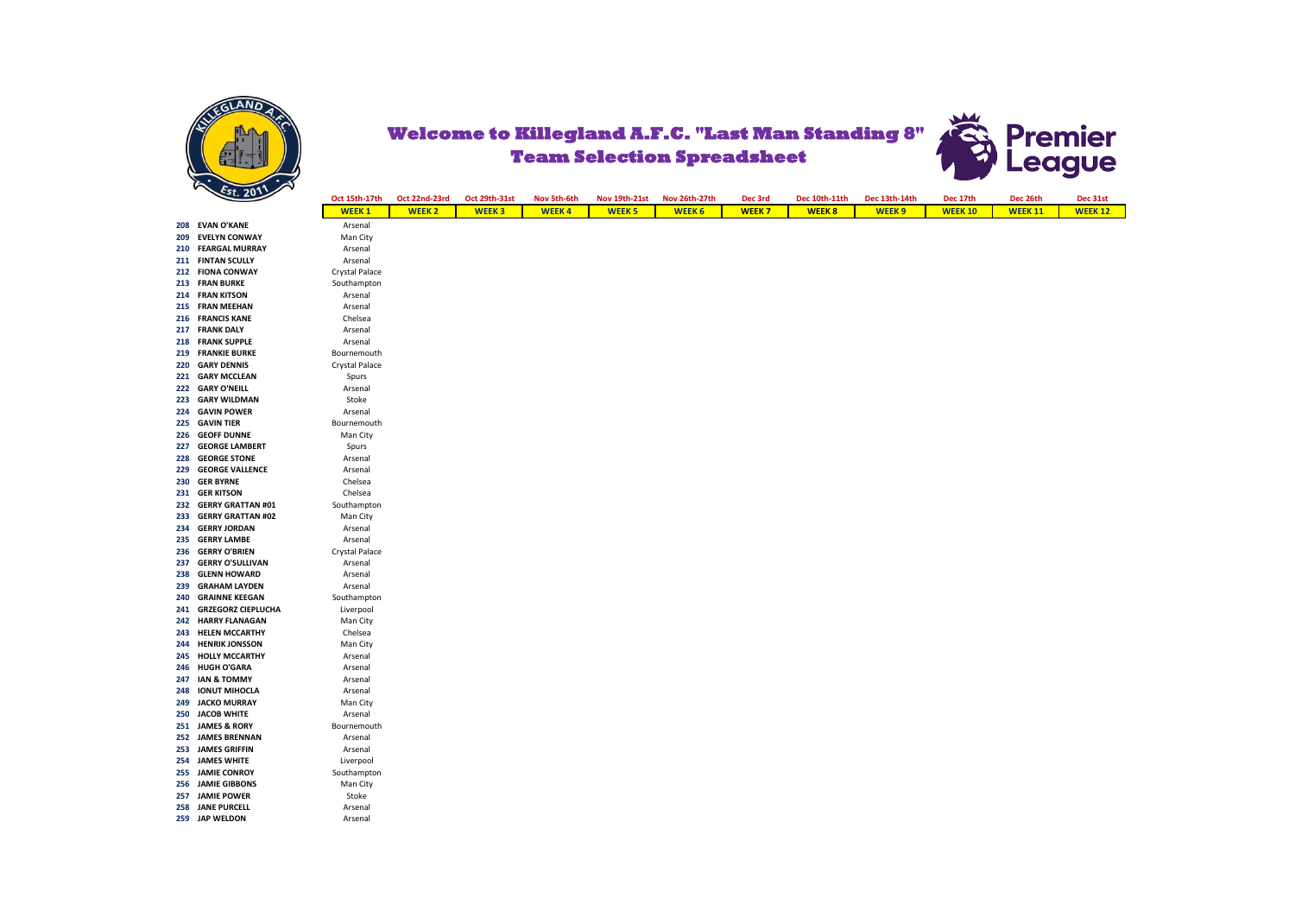

**259 JAP WELDON** 

**257 JAMIE POWER** Stoke<br>**258 JANE PURCELL** Arsenal **258 JANE PURCELL Arsenal**<br> **259 JAP WELDON** Arsenal



|     | r<br>Est. 201             |                |               |               |              |               |               |              |               |               |                |                |                |
|-----|---------------------------|----------------|---------------|---------------|--------------|---------------|---------------|--------------|---------------|---------------|----------------|----------------|----------------|
|     |                           | Oct 15th-17th  | Oct 22nd-23rd | Oct 29th-31st | Nov 5th-6th  | Nov 19th-21st | Nov 26th-27th | Dec 3rd      | Dec 10th-11th | Dec 13th-14th | Dec 17th       | Dec 26th       | Dec 31st       |
|     |                           | <b>WEEK1</b>   | <b>WEEK 2</b> | <b>WEEK3</b>  | <b>WEEK4</b> | <b>WEEK 5</b> | <b>WEEK 6</b> | <b>WEEK7</b> | <b>WEEK8</b>  | <b>WEEK9</b>  | <b>WEEK 10</b> | <b>WEEK 11</b> | <b>WEEK 12</b> |
|     | 208 EVAN O'KANE           | Arsenal        |               |               |              |               |               |              |               |               |                |                |                |
| 209 | <b>EVELYN CONWAY</b>      | Man City       |               |               |              |               |               |              |               |               |                |                |                |
|     | 210 FEARGAL MURRAY        | Arsenal        |               |               |              |               |               |              |               |               |                |                |                |
|     | 211 FINTAN SCULLY         | Arsenal        |               |               |              |               |               |              |               |               |                |                |                |
|     | 212 FIONA CONWAY          | Crystal Palace |               |               |              |               |               |              |               |               |                |                |                |
|     | 213 FRAN BURKE            | Southampton    |               |               |              |               |               |              |               |               |                |                |                |
|     | 214 FRAN KITSON           | Arsenal        |               |               |              |               |               |              |               |               |                |                |                |
|     | 215 FRAN MEEHAN           | Arsenal        |               |               |              |               |               |              |               |               |                |                |                |
|     | 216 FRANCIS KANE          | Chelsea        |               |               |              |               |               |              |               |               |                |                |                |
|     | 217 FRANK DALY            | Arsenal        |               |               |              |               |               |              |               |               |                |                |                |
|     | 218 FRANK SUPPLE          | Arsenal        |               |               |              |               |               |              |               |               |                |                |                |
|     | 219 FRANKIE BURKE         | Bournemouth    |               |               |              |               |               |              |               |               |                |                |                |
|     | 220 GARY DENNIS           | Crystal Palace |               |               |              |               |               |              |               |               |                |                |                |
| 221 | <b>GARY MCCLEAN</b>       | Spurs          |               |               |              |               |               |              |               |               |                |                |                |
|     | 222 GARY O'NEILL          | Arsenal        |               |               |              |               |               |              |               |               |                |                |                |
| 223 | <b>GARY WILDMAN</b>       | Stoke          |               |               |              |               |               |              |               |               |                |                |                |
|     | 224 GAVIN POWER           | Arsenal        |               |               |              |               |               |              |               |               |                |                |                |
|     | 225 GAVIN TIER            | Bournemouth    |               |               |              |               |               |              |               |               |                |                |                |
| 226 | <b>GEOFF DUNNE</b>        | Man City       |               |               |              |               |               |              |               |               |                |                |                |
| 227 | <b>GEORGE LAMBERT</b>     | Spurs          |               |               |              |               |               |              |               |               |                |                |                |
| 228 | <b>GEORGE STONE</b>       | Arsenal        |               |               |              |               |               |              |               |               |                |                |                |
| 229 | <b>GEORGE VALLENCE</b>    | Arsenal        |               |               |              |               |               |              |               |               |                |                |                |
| 230 | <b>GER BYRNE</b>          | Chelsea        |               |               |              |               |               |              |               |               |                |                |                |
| 231 | <b>GER KITSON</b>         | Chelsea        |               |               |              |               |               |              |               |               |                |                |                |
|     | 232 GERRY GRATTAN #01     | Southampton    |               |               |              |               |               |              |               |               |                |                |                |
| 233 | <b>GERRY GRATTAN #02</b>  | Man City       |               |               |              |               |               |              |               |               |                |                |                |
| 234 | <b>GERRY JORDAN</b>       | Arsenal        |               |               |              |               |               |              |               |               |                |                |                |
| 235 | <b>GERRY LAMBE</b>        | Arsenal        |               |               |              |               |               |              |               |               |                |                |                |
|     | 236 GERRY O'BRIEN         | Crystal Palace |               |               |              |               |               |              |               |               |                |                |                |
| 237 | <b>GERRY O'SULLIVAN</b>   | Arsenal        |               |               |              |               |               |              |               |               |                |                |                |
| 238 | <b>GLENN HOWARD</b>       | Arsenal        |               |               |              |               |               |              |               |               |                |                |                |
| 239 | <b>GRAHAM LAYDEN</b>      | Arsenal        |               |               |              |               |               |              |               |               |                |                |                |
| 240 | <b>GRAINNE KEEGAN</b>     | Southampton    |               |               |              |               |               |              |               |               |                |                |                |
| 241 | <b>GRZEGORZ CIEPLUCHA</b> | Liverpool      |               |               |              |               |               |              |               |               |                |                |                |
|     | 242 HARRY FLANAGAN        | Man City       |               |               |              |               |               |              |               |               |                |                |                |
| 243 | <b>HELEN MCCARTHY</b>     | Chelsea        |               |               |              |               |               |              |               |               |                |                |                |
| 244 | <b>HENRIK JONSSON</b>     | Man City       |               |               |              |               |               |              |               |               |                |                |                |
|     | 245 HOLLY MCCARTHY        | Arsenal        |               |               |              |               |               |              |               |               |                |                |                |
| 246 | <b>HUGH O'GARA</b>        | Arsenal        |               |               |              |               |               |              |               |               |                |                |                |
| 247 | <b>IAN &amp; TOMMY</b>    | Arsenal        |               |               |              |               |               |              |               |               |                |                |                |
| 248 | <b>IONUT MIHOCLA</b>      | Arsenal        |               |               |              |               |               |              |               |               |                |                |                |
|     | 249 JACKO MURRAY          | Man City       |               |               |              |               |               |              |               |               |                |                |                |
|     | 250 JACOB WHITE           | Arsenal        |               |               |              |               |               |              |               |               |                |                |                |
|     | 251 JAMES & RORY          | Bournemouth    |               |               |              |               |               |              |               |               |                |                |                |
|     | 252 JAMES BRENNAN         | Arsenal        |               |               |              |               |               |              |               |               |                |                |                |
|     | 253 JAMES GRIFFIN         | Arsenal        |               |               |              |               |               |              |               |               |                |                |                |
|     | 254 JAMES WHITE           | Liverpool      |               |               |              |               |               |              |               |               |                |                |                |
|     | 255 JAMIE CONROY          | Southampton    |               |               |              |               |               |              |               |               |                |                |                |
|     | 256 JAMIE GIBBONS         | Man City       |               |               |              |               |               |              |               |               |                |                |                |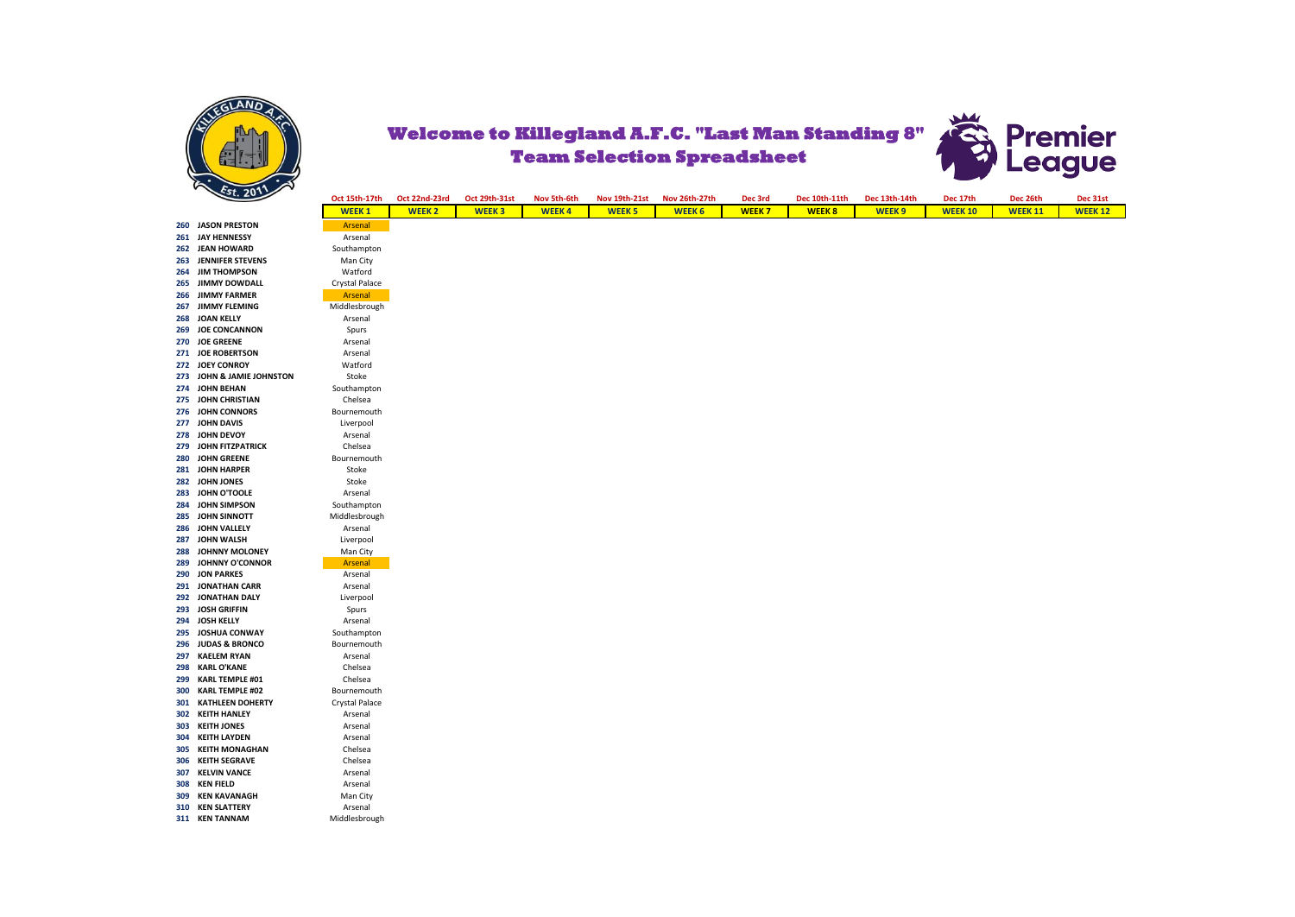



|     | $\mathcal{L}$ st. 201 $\mathcal{L}$ |                |               |               |              |                      |               |              |               |               |                |                |                |
|-----|-------------------------------------|----------------|---------------|---------------|--------------|----------------------|---------------|--------------|---------------|---------------|----------------|----------------|----------------|
|     |                                     | Oct 15th-17th  | Oct 22nd-23rd | Oct 29th-31st | Nov 5th-6th  | <b>Nov 19th-21st</b> | Nov 26th-27th | Dec 3rd      | Dec 10th-11th | Dec 13th-14th | Dec 17th       | Dec 26th       | Dec 31st       |
|     |                                     | <b>WEEK1</b>   | <b>WEEK 2</b> | <b>WEEK3</b>  | <b>WEEK4</b> | <b>WEEK 5</b>        | <b>WEEK 6</b> | <b>WEEK7</b> | <b>WEEK8</b>  | <b>WEEK9</b>  | <b>WEEK 10</b> | <b>WEEK 11</b> | <b>WEEK 12</b> |
|     | 260 JASON PRESTON                   | Arsenal        |               |               |              |                      |               |              |               |               |                |                |                |
| 261 | <b>JAY HENNESSY</b>                 | Arsenal        |               |               |              |                      |               |              |               |               |                |                |                |
|     | 262 JEAN HOWARD                     | Southampton    |               |               |              |                      |               |              |               |               |                |                |                |
| 263 | <b>JENNIFER STEVENS</b>             | Man City       |               |               |              |                      |               |              |               |               |                |                |                |
| 264 | <b>JIM THOMPSON</b>                 | Watford        |               |               |              |                      |               |              |               |               |                |                |                |
|     | 265 JIMMY DOWDALL                   | Crystal Palace |               |               |              |                      |               |              |               |               |                |                |                |
|     | 266 JIMMY FARMER                    | Arsenal        |               |               |              |                      |               |              |               |               |                |                |                |
| 267 | <b>JIMMY FLEMING</b>                | Middlesbrough  |               |               |              |                      |               |              |               |               |                |                |                |
|     | 268 JOAN KELLY                      | Arsenal        |               |               |              |                      |               |              |               |               |                |                |                |
| 269 | <b>JOE CONCANNON</b>                | Spurs          |               |               |              |                      |               |              |               |               |                |                |                |
|     | 270 JOE GREENE                      | Arsenal        |               |               |              |                      |               |              |               |               |                |                |                |
|     | 271 JOE ROBERTSON                   | Arsenal        |               |               |              |                      |               |              |               |               |                |                |                |
|     | 272 JOEY CONROY                     | Watford        |               |               |              |                      |               |              |               |               |                |                |                |
|     | 273 JOHN & JAMIE JOHNSTON           | Stoke          |               |               |              |                      |               |              |               |               |                |                |                |
|     | 274 JOHN BEHAN                      | Southampton    |               |               |              |                      |               |              |               |               |                |                |                |
|     | 275 JOHN CHRISTIAN                  | Chelsea        |               |               |              |                      |               |              |               |               |                |                |                |
|     | 276 JOHN CONNORS                    | Bournemouth    |               |               |              |                      |               |              |               |               |                |                |                |
| 277 | <b>JOHN DAVIS</b>                   | Liverpool      |               |               |              |                      |               |              |               |               |                |                |                |
|     | 278 JOHN DEVOY                      | Arsenal        |               |               |              |                      |               |              |               |               |                |                |                |
| 279 | <b>JOHN FITZPATRICK</b>             | Chelsea        |               |               |              |                      |               |              |               |               |                |                |                |
| 280 | <b>JOHN GREENE</b>                  | Bournemouth    |               |               |              |                      |               |              |               |               |                |                |                |
|     | 281 JOHN HARPER                     | Stoke          |               |               |              |                      |               |              |               |               |                |                |                |
|     | 282 JOHN JONES                      | Stoke          |               |               |              |                      |               |              |               |               |                |                |                |
|     | 283 JOHN O'TOOLE                    |                |               |               |              |                      |               |              |               |               |                |                |                |
|     |                                     | Arsenal        |               |               |              |                      |               |              |               |               |                |                |                |
|     | 284 JOHN SIMPSON<br>JOHN SINNOTT    | Southampton    |               |               |              |                      |               |              |               |               |                |                |                |
| 285 |                                     | Middlesbrough  |               |               |              |                      |               |              |               |               |                |                |                |
|     | 286 JOHN VALLELY                    | Arsenal        |               |               |              |                      |               |              |               |               |                |                |                |
| 287 | JOHN WALSH                          | Liverpool      |               |               |              |                      |               |              |               |               |                |                |                |
| 288 | JOHNNY MOLONEY                      | Man City       |               |               |              |                      |               |              |               |               |                |                |                |
| 289 | <b>JOHNNY O'CONNOR</b>              | Arsenal        |               |               |              |                      |               |              |               |               |                |                |                |
|     | 290 JON PARKES                      | Arsenal        |               |               |              |                      |               |              |               |               |                |                |                |
|     | 291 JONATHAN CARR                   | Arsenal        |               |               |              |                      |               |              |               |               |                |                |                |
|     | 292 JONATHAN DALY                   | Liverpool      |               |               |              |                      |               |              |               |               |                |                |                |
| 293 | <b>JOSH GRIFFIN</b>                 | Spurs          |               |               |              |                      |               |              |               |               |                |                |                |
|     | 294 JOSH KELLY                      | Arsenal        |               |               |              |                      |               |              |               |               |                |                |                |
|     | 295 JOSHUA CONWAY                   | Southampton    |               |               |              |                      |               |              |               |               |                |                |                |
|     | 296 JUDAS & BRONCO                  | Bournemouth    |               |               |              |                      |               |              |               |               |                |                |                |
| 297 | <b>KAELEM RYAN</b>                  | Arsenal        |               |               |              |                      |               |              |               |               |                |                |                |
| 298 | <b>KARL O'KANE</b>                  | Chelsea        |               |               |              |                      |               |              |               |               |                |                |                |
| 299 | <b>KARL TEMPLE #01</b>              | Chelsea        |               |               |              |                      |               |              |               |               |                |                |                |
| 300 | <b>KARL TEMPLE #02</b>              | Bournemouth    |               |               |              |                      |               |              |               |               |                |                |                |
| 301 | <b>KATHLEEN DOHERTY</b>             | Crystal Palace |               |               |              |                      |               |              |               |               |                |                |                |
|     | 302 KEITH HANLEY                    | Arsenal        |               |               |              |                      |               |              |               |               |                |                |                |
| 303 | <b>KEITH JONES</b>                  | Arsenal        |               |               |              |                      |               |              |               |               |                |                |                |
| 304 | <b>KEITH LAYDEN</b>                 | Arsenal        |               |               |              |                      |               |              |               |               |                |                |                |
|     | 305 KEITH MONAGHAN                  | Chelsea        |               |               |              |                      |               |              |               |               |                |                |                |
| 306 | <b>KEITH SEGRAVE</b>                | Chelsea        |               |               |              |                      |               |              |               |               |                |                |                |
| 307 | <b>KELVIN VANCE</b>                 | Arsenal        |               |               |              |                      |               |              |               |               |                |                |                |
| 308 | <b>KEN FIELD</b>                    | Arsenal        |               |               |              |                      |               |              |               |               |                |                |                |
| 309 | <b>KEN KAVANAGH</b>                 | Man City       |               |               |              |                      |               |              |               |               |                |                |                |
|     | <b>310 KEN SLATTERY</b>             | Arsenal        |               |               |              |                      |               |              |               |               |                |                |                |
|     | 311 KEN TANNAM                      | Middlesbrough  |               |               |              |                      |               |              |               |               |                |                |                |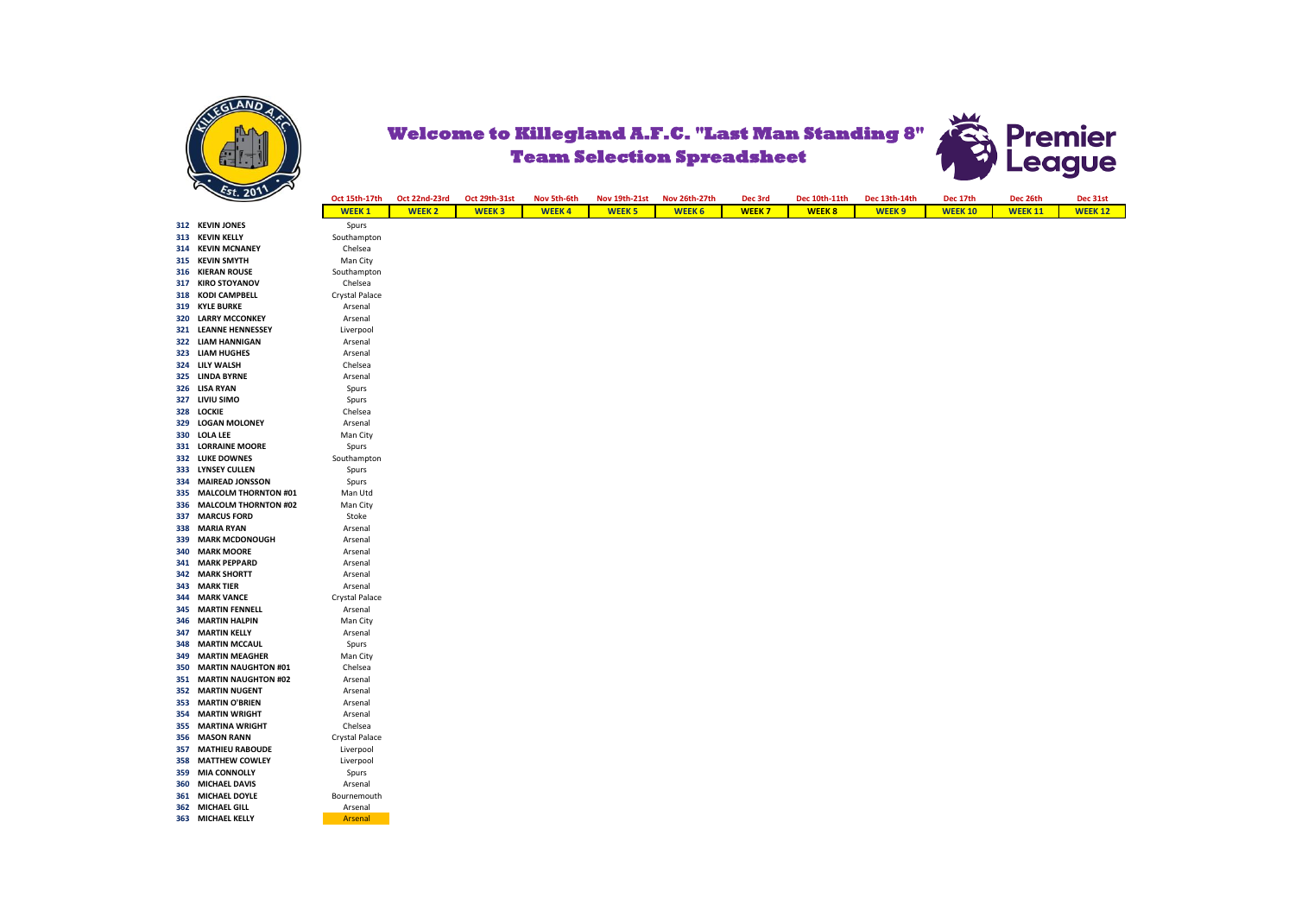

## **Premier**<br>League **Welcome to Killegland A.F.C. "Last Man Standing 8" Team Selection Spreadsheet**

|     | $\cdot$ $\cdot$                      | Oct 15th-17th      | Oct 22nd-23rd | Oct 29th-31st | Nov 5th-6th  | Nov 19th-21st | Nov 26th-27th | Dec 3rd      | Dec 10th-11th | Dec 13th-14th     | Dec 17th       | Dec 26th       |
|-----|--------------------------------------|--------------------|---------------|---------------|--------------|---------------|---------------|--------------|---------------|-------------------|----------------|----------------|
|     |                                      | <b>WEEK1</b>       | <b>WEEK 2</b> | <b>WEEK3</b>  | <b>WEEK4</b> | <b>WEEK 5</b> | <b>WEEK 6</b> | <b>WEEK7</b> | <b>WEEK8</b>  | WEEK <sub>9</sub> | <b>WEEK 10</b> | <b>WEEK 11</b> |
|     | 312 KEVIN JONES                      | Spurs              |               |               |              |               |               |              |               |                   |                |                |
|     | 313 KEVIN KELLY                      | Southampton        |               |               |              |               |               |              |               |                   |                |                |
|     | 314 KEVIN MCNANEY                    | Chelsea            |               |               |              |               |               |              |               |                   |                |                |
| 315 | <b>KEVIN SMYTH</b>                   | Man City           |               |               |              |               |               |              |               |                   |                |                |
|     | 316 KIERAN ROUSE                     | Southampton        |               |               |              |               |               |              |               |                   |                |                |
|     | 317 KIRO STOYANOV                    | Chelsea            |               |               |              |               |               |              |               |                   |                |                |
| 318 | <b>KODI CAMPBELL</b>                 | Crystal Palace     |               |               |              |               |               |              |               |                   |                |                |
|     | 319 KYLE BURKE                       | Arsenal            |               |               |              |               |               |              |               |                   |                |                |
| 320 | <b>LARRY MCCONKEY</b>                | Arsenal            |               |               |              |               |               |              |               |                   |                |                |
|     | 321 LEANNE HENNESSEY                 | Liverpool          |               |               |              |               |               |              |               |                   |                |                |
| 322 | <b>LIAM HANNIGAN</b>                 | Arsenal            |               |               |              |               |               |              |               |                   |                |                |
| 323 | <b>LIAM HUGHES</b><br>324 LILY WALSH | Arsenal            |               |               |              |               |               |              |               |                   |                |                |
|     | 325 LINDA BYRNE                      | Chelsea<br>Arsenal |               |               |              |               |               |              |               |                   |                |                |
|     | 326 LISA RYAN                        | Spurs              |               |               |              |               |               |              |               |                   |                |                |
|     | 327 LIVIU SIMO                       | Spurs              |               |               |              |               |               |              |               |                   |                |                |
| 328 | LOCKIE                               | Chelsea            |               |               |              |               |               |              |               |                   |                |                |
| 329 | <b>LOGAN MOLONEY</b>                 | Arsenal            |               |               |              |               |               |              |               |                   |                |                |
| 330 | <b>LOLA LEE</b>                      | Man City           |               |               |              |               |               |              |               |                   |                |                |
|     | 331 LORRAINE MOORE                   | Spurs              |               |               |              |               |               |              |               |                   |                |                |
|     | 332 LUKE DOWNES                      | Southampton        |               |               |              |               |               |              |               |                   |                |                |
| 333 | <b>LYNSEY CULLEN</b>                 | Spurs              |               |               |              |               |               |              |               |                   |                |                |
|     | 334 MAIREAD JONSSON                  | Spurs              |               |               |              |               |               |              |               |                   |                |                |
| 335 | <b>MALCOLM THORNTON #01</b>          | Man Utd            |               |               |              |               |               |              |               |                   |                |                |
| 336 | <b>MALCOLM THORNTON #02</b>          | Man City           |               |               |              |               |               |              |               |                   |                |                |
| 337 | <b>MARCUS FORD</b>                   | Stoke              |               |               |              |               |               |              |               |                   |                |                |
| 338 | <b>MARIA RYAN</b>                    | Arsenal            |               |               |              |               |               |              |               |                   |                |                |
| 339 | <b>MARK MCDONOUGH</b>                | Arsenal            |               |               |              |               |               |              |               |                   |                |                |
| 340 | <b>MARK MOORE</b>                    | Arsenal            |               |               |              |               |               |              |               |                   |                |                |
| 341 | <b>MARK PEPPARD</b>                  | Arsenal            |               |               |              |               |               |              |               |                   |                |                |
| 342 | <b>MARK SHORTT</b>                   | Arsenal            |               |               |              |               |               |              |               |                   |                |                |
| 343 | <b>MARK TIER</b>                     | Arsenal            |               |               |              |               |               |              |               |                   |                |                |
| 344 | <b>MARK VANCE</b>                    | Crystal Palace     |               |               |              |               |               |              |               |                   |                |                |
|     | <b>345 MARTIN FENNELL</b>            | Arsenal            |               |               |              |               |               |              |               |                   |                |                |
| 346 | <b>MARTIN HALPIN</b>                 | Man City           |               |               |              |               |               |              |               |                   |                |                |
| 347 | <b>MARTIN KELLY</b>                  | Arsenal            |               |               |              |               |               |              |               |                   |                |                |
| 348 | <b>MARTIN MCCAUL</b>                 | Spurs              |               |               |              |               |               |              |               |                   |                |                |
| 349 | <b>MARTIN MEAGHER</b>                | Man City           |               |               |              |               |               |              |               |                   |                |                |
| 350 | <b>MARTIN NAUGHTON #01</b>           | Chelsea            |               |               |              |               |               |              |               |                   |                |                |
| 351 | <b>MARTIN NAUGHTON #02</b>           | Arsenal            |               |               |              |               |               |              |               |                   |                |                |
|     | 352 MARTIN NUGENT                    | Arsenal            |               |               |              |               |               |              |               |                   |                |                |
| 353 | <b>MARTIN O'BRIEN</b>                | Arsenal            |               |               |              |               |               |              |               |                   |                |                |
| 354 | <b>MARTIN WRIGHT</b>                 | Arsenal            |               |               |              |               |               |              |               |                   |                |                |
| 355 | <b>MARTINA WRIGHT</b>                | Chelsea            |               |               |              |               |               |              |               |                   |                |                |
|     | 356 MASON RANN                       | Crystal Palace     |               |               |              |               |               |              |               |                   |                |                |
| 357 | <b>MATHIEU RABOUDE</b>               | Liverpool          |               |               |              |               |               |              |               |                   |                |                |
| 358 | <b>MATTHEW COWLEY</b>                | Liverpool          |               |               |              |               |               |              |               |                   |                |                |
| 359 | <b>MIA CONNOLLY</b>                  | Spurs              |               |               |              |               |               |              |               |                   |                |                |
| 360 | <b>MICHAEL DAVIS</b>                 | Arsenal            |               |               |              |               |               |              |               |                   |                |                |
|     | 361 MICHAEL DOYLE                    | Bournemouth        |               |               |              |               |               |              |               |                   |                |                |
|     | 362 MICHAEL GILL                     | Arsenal            |               |               |              |               |               |              |               |                   |                |                |
|     | 363 MICHAEL KELLY                    | Arsenal            |               |               |              |               |               |              |               |                   |                |                |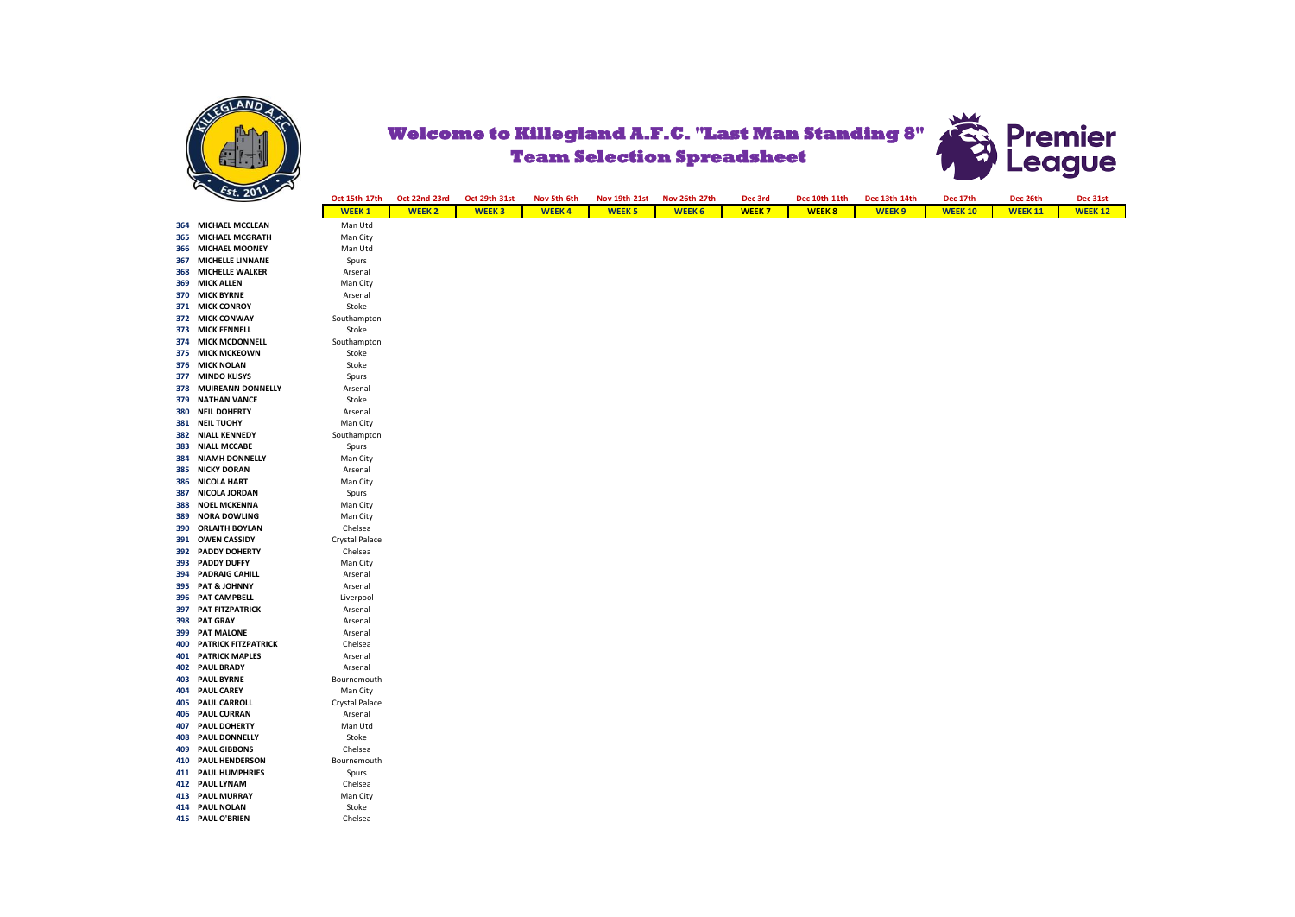

## **Welcome to Killegland A.F.C. "Last Man Standing 8" Team Selection Spreadsheet**



|     | "                                       |                      |               |               |              |                      |               |              |               |                   |                |                |                |
|-----|-----------------------------------------|----------------------|---------------|---------------|--------------|----------------------|---------------|--------------|---------------|-------------------|----------------|----------------|----------------|
|     | Est. 2011                               | Oct 15th-17th        | Oct 22nd-23rd | Oct 29th-31st | Nov 5th-6th  | <b>Nov 19th-21st</b> | Nov 26th-27th | Dec 3rd      | Dec 10th-11th | Dec 13th-14th     | Dec 17th       | Dec 26th       | Dec 31st       |
|     |                                         | <b>WEEK1</b>         | <b>WEEK 2</b> | <b>WEEK3</b>  | <b>WEEK4</b> | <b>WEEK 5</b>        | <b>WEEK 6</b> | <b>WEEK7</b> | <b>WEEK8</b>  | WEEK <sub>9</sub> | <b>WEEK 10</b> | <b>WEEK 11</b> | <b>WEEK 12</b> |
|     | 364 MICHAEL MCCLEAN                     | Man Utd              |               |               |              |                      |               |              |               |                   |                |                |                |
| 365 | <b>MICHAEL MCGRATH</b>                  | Man City             |               |               |              |                      |               |              |               |                   |                |                |                |
| 366 | <b>MICHAEL MOONEY</b>                   | Man Utd              |               |               |              |                      |               |              |               |                   |                |                |                |
| 367 | <b>MICHELLE LINNANE</b>                 | Spurs                |               |               |              |                      |               |              |               |                   |                |                |                |
| 368 | <b>MICHELLE WALKER</b>                  | Arsenal              |               |               |              |                      |               |              |               |                   |                |                |                |
| 369 | <b>MICK ALLEN</b>                       | Man City             |               |               |              |                      |               |              |               |                   |                |                |                |
|     | 370 MICK BYRNE                          | Arsenal              |               |               |              |                      |               |              |               |                   |                |                |                |
|     | 371 MICK CONROY                         | Stoke                |               |               |              |                      |               |              |               |                   |                |                |                |
|     | 372 MICK CONWAY                         | Southampton          |               |               |              |                      |               |              |               |                   |                |                |                |
|     | 373 MICK FENNELL                        | Stoke                |               |               |              |                      |               |              |               |                   |                |                |                |
|     | 374 MICK MCDONNELL                      | Southampton          |               |               |              |                      |               |              |               |                   |                |                |                |
|     | 375 MICK MCKEOWN                        | Stoke                |               |               |              |                      |               |              |               |                   |                |                |                |
|     | 376 MICK NOLAN                          | Stoke                |               |               |              |                      |               |              |               |                   |                |                |                |
|     | 377 MINDO KLISYS                        | Spurs                |               |               |              |                      |               |              |               |                   |                |                |                |
| 378 | <b>MUIREANN DONNELLY</b>                | Arsenal              |               |               |              |                      |               |              |               |                   |                |                |                |
| 379 | <b>NATHAN VANCE</b>                     | Stoke                |               |               |              |                      |               |              |               |                   |                |                |                |
| 380 | <b>NEIL DOHERTY</b>                     | Arsenal              |               |               |              |                      |               |              |               |                   |                |                |                |
|     | 381 NEIL TUOHY                          | Man City             |               |               |              |                      |               |              |               |                   |                |                |                |
| 382 | <b>NIALL KENNEDY</b>                    | Southampton          |               |               |              |                      |               |              |               |                   |                |                |                |
| 383 | <b>NIALL MCCABE</b>                     | Spurs                |               |               |              |                      |               |              |               |                   |                |                |                |
|     | 384 NIAMH DONNELLY                      | Man City             |               |               |              |                      |               |              |               |                   |                |                |                |
| 385 | <b>NICKY DORAN</b>                      | Arsenal              |               |               |              |                      |               |              |               |                   |                |                |                |
|     | 386 NICOLA HART                         | Man City             |               |               |              |                      |               |              |               |                   |                |                |                |
| 387 | NICOLA JORDAN                           | Spurs                |               |               |              |                      |               |              |               |                   |                |                |                |
| 388 | <b>NOEL MCKENNA</b>                     | Man City             |               |               |              |                      |               |              |               |                   |                |                |                |
| 389 | <b>NORA DOWLING</b>                     | Man City             |               |               |              |                      |               |              |               |                   |                |                |                |
| 390 | <b>ORLAITH BOYLAN</b>                   | Chelsea              |               |               |              |                      |               |              |               |                   |                |                |                |
|     | 391 OWEN CASSIDY                        | Crystal Palace       |               |               |              |                      |               |              |               |                   |                |                |                |
| 392 | <b>PADDY DOHERTY</b>                    | Chelsea              |               |               |              |                      |               |              |               |                   |                |                |                |
|     | 393 PADDY DUFFY                         | Man City             |               |               |              |                      |               |              |               |                   |                |                |                |
|     | 394 PADRAIG CAHILL                      | Arsenal              |               |               |              |                      |               |              |               |                   |                |                |                |
|     | 395 PAT & JOHNNY                        | Arsenal              |               |               |              |                      |               |              |               |                   |                |                |                |
|     | 396 PAT CAMPBELL<br>397 PAT FITZPATRICK | Liverpool<br>Arsenal |               |               |              |                      |               |              |               |                   |                |                |                |
|     | 398 PAT GRAY                            | Arsenal              |               |               |              |                      |               |              |               |                   |                |                |                |
| 399 | <b>PAT MALONE</b>                       | Arsenal              |               |               |              |                      |               |              |               |                   |                |                |                |
|     | <b>400 PATRICK FITZPATRICK</b>          | Chelsea              |               |               |              |                      |               |              |               |                   |                |                |                |
|     | <b>401 PATRICK MAPLES</b>               | Arsenal              |               |               |              |                      |               |              |               |                   |                |                |                |
| 402 | <b>PAUL BRADY</b>                       | Arsenal              |               |               |              |                      |               |              |               |                   |                |                |                |
|     | 403 PAUL BYRNE                          | Bournemouth          |               |               |              |                      |               |              |               |                   |                |                |                |
| 404 | <b>PAUL CAREY</b>                       | Man City             |               |               |              |                      |               |              |               |                   |                |                |                |
| 405 | <b>PAUL CARROLL</b>                     | Crystal Palace       |               |               |              |                      |               |              |               |                   |                |                |                |
| 406 | <b>PAUL CURRAN</b>                      | Arsenal              |               |               |              |                      |               |              |               |                   |                |                |                |
|     | 407 PAUL DOHERTY                        | Man Utd              |               |               |              |                      |               |              |               |                   |                |                |                |
| 408 | <b>PAUL DONNELLY</b>                    | Stoke                |               |               |              |                      |               |              |               |                   |                |                |                |
| 409 | <b>PAUL GIBBONS</b>                     | Chelsea              |               |               |              |                      |               |              |               |                   |                |                |                |
|     | 410 PAUL HENDERSON                      | Bournemouth          |               |               |              |                      |               |              |               |                   |                |                |                |
|     | 411 PAUL HUMPHRIES                      | Spurs                |               |               |              |                      |               |              |               |                   |                |                |                |
|     | 412 PAUL LYNAM                          | Chelsea              |               |               |              |                      |               |              |               |                   |                |                |                |
|     | <b>413 PAUL MURRAY</b>                  | Man City             |               |               |              |                      |               |              |               |                   |                |                |                |
|     | 414 PAUL NOLAN                          | Stoke                |               |               |              |                      |               |              |               |                   |                |                |                |
|     | 415 PAUL O'BRIEN                        | Chelsea              |               |               |              |                      |               |              |               |                   |                |                |                |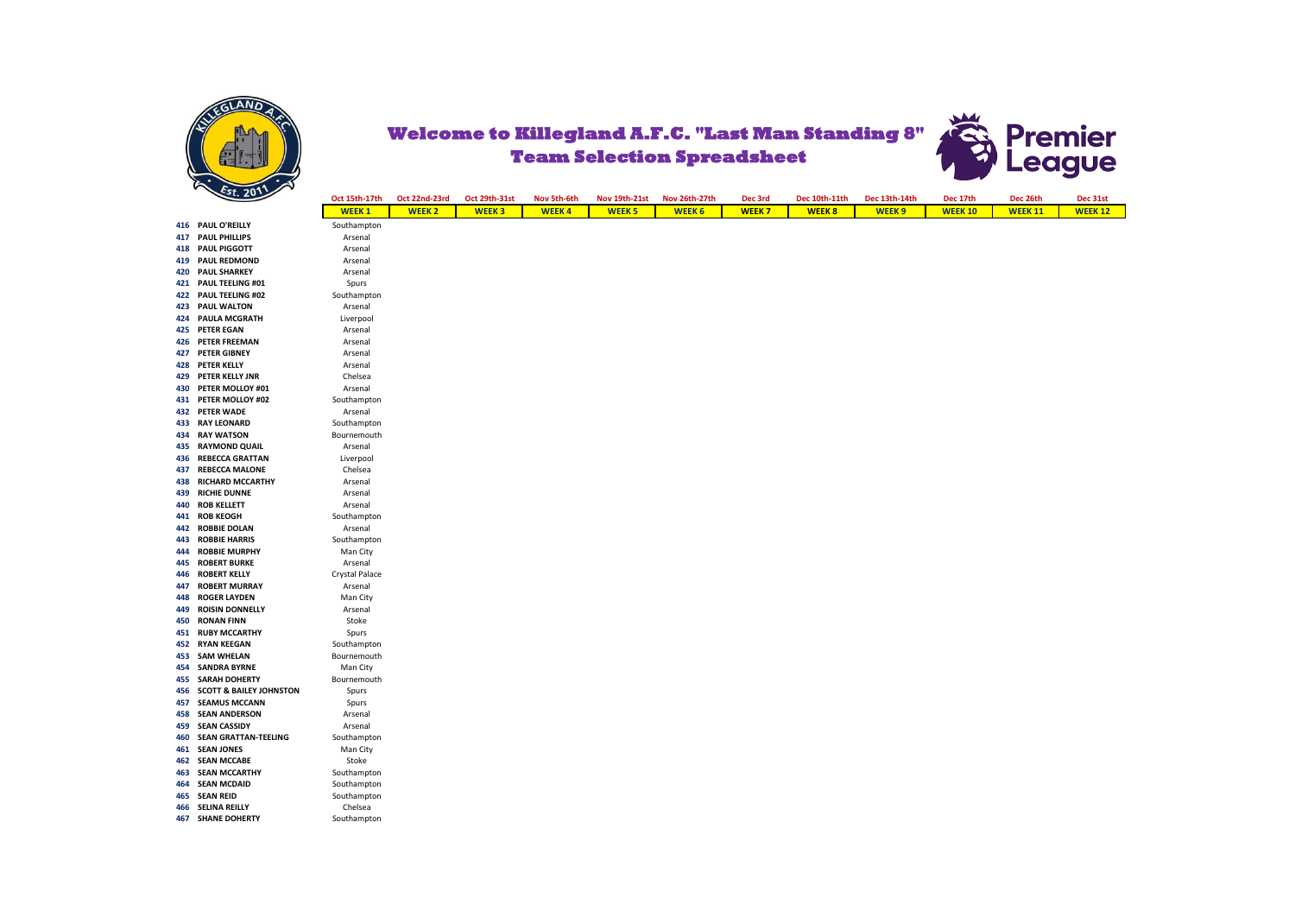

## **Welcome to Killegland A.F.C. "Last Man Standing 8" Team Selection Spreadsheet**



|     | 202                                | Oct 15th-17th  | Oct 22nd-23rd | Oct 29th-31st | Nov 5th-6th  | <b>Nov 19th-21st</b> | Nov 26th-27th | Dec 3rd      | Dec 10th-11th | Dec 13th-14th | Dec 17th       | Dec 26th       | Dec 31st       |
|-----|------------------------------------|----------------|---------------|---------------|--------------|----------------------|---------------|--------------|---------------|---------------|----------------|----------------|----------------|
|     |                                    | <b>WEEK1</b>   | <b>WEEK 2</b> | <b>WEEK3</b>  | <b>WEEK4</b> | <b>WEEK 5</b>        | <b>WEEK 6</b> | <b>WEEK7</b> | <b>WEEK8</b>  | <b>WEEK 9</b> | <b>WEEK 10</b> | <b>WEEK 11</b> | <b>WEEK 12</b> |
|     | 416 PAUL O'REILLY                  | Southampton    |               |               |              |                      |               |              |               |               |                |                |                |
|     | <b>417 PAUL PHILLIPS</b>           | Arsenal        |               |               |              |                      |               |              |               |               |                |                |                |
|     | 418 PAUL PIGGOTT                   | Arsenal        |               |               |              |                      |               |              |               |               |                |                |                |
|     | 419 PAUL REDMOND                   | Arsenal        |               |               |              |                      |               |              |               |               |                |                |                |
|     | <b>420 PAUL SHARKEY</b>            | Arsenal        |               |               |              |                      |               |              |               |               |                |                |                |
|     | 421 PAUL TEELING #01               | Spurs          |               |               |              |                      |               |              |               |               |                |                |                |
|     | 422 PAUL TEELING #02               | Southampton    |               |               |              |                      |               |              |               |               |                |                |                |
|     | <b>423 PAUL WALTON</b>             | Arsenal        |               |               |              |                      |               |              |               |               |                |                |                |
|     | 424 PAULA MCGRATH                  | Liverpool      |               |               |              |                      |               |              |               |               |                |                |                |
|     | 425 PETER EGAN                     | Arsenal        |               |               |              |                      |               |              |               |               |                |                |                |
|     | 426 PETER FREEMAN                  | Arsenal        |               |               |              |                      |               |              |               |               |                |                |                |
| 427 | <b>PETER GIBNEY</b>                | Arsenal        |               |               |              |                      |               |              |               |               |                |                |                |
|     | 428 PETER KELLY                    | Arsenal        |               |               |              |                      |               |              |               |               |                |                |                |
| 429 | PETER KELLY JNR                    | Chelsea        |               |               |              |                      |               |              |               |               |                |                |                |
|     | 430 PETER MOLLOY #01               | Arsenal        |               |               |              |                      |               |              |               |               |                |                |                |
|     | 431 PETER MOLLOY #02               | Southampton    |               |               |              |                      |               |              |               |               |                |                |                |
|     | 432 PETER WADE                     | Arsenal        |               |               |              |                      |               |              |               |               |                |                |                |
| 433 | <b>RAY LEONARD</b>                 | Southampton    |               |               |              |                      |               |              |               |               |                |                |                |
|     | 434 RAY WATSON                     | Bournemouth    |               |               |              |                      |               |              |               |               |                |                |                |
| 435 | <b>RAYMOND QUAIL</b>               | Arsenal        |               |               |              |                      |               |              |               |               |                |                |                |
| 436 | <b>REBECCA GRATTAN</b>             | Liverpool      |               |               |              |                      |               |              |               |               |                |                |                |
| 437 | <b>REBECCA MALONE</b>              | Chelsea        |               |               |              |                      |               |              |               |               |                |                |                |
| 438 | <b>RICHARD MCCARTHY</b>            | Arsenal        |               |               |              |                      |               |              |               |               |                |                |                |
| 439 | <b>RICHIE DUNNE</b>                | Arsenal        |               |               |              |                      |               |              |               |               |                |                |                |
| 440 | <b>ROB KELLETT</b>                 | Arsenal        |               |               |              |                      |               |              |               |               |                |                |                |
|     | 441 ROB KEOGH                      | Southampton    |               |               |              |                      |               |              |               |               |                |                |                |
| 442 | <b>ROBBIE DOLAN</b>                | Arsenal        |               |               |              |                      |               |              |               |               |                |                |                |
| 443 | <b>ROBBIE HARRIS</b>               | Southampton    |               |               |              |                      |               |              |               |               |                |                |                |
| 444 | <b>ROBBIE MURPHY</b>               | Man City       |               |               |              |                      |               |              |               |               |                |                |                |
| 445 | <b>ROBERT BURKE</b>                | Arsenal        |               |               |              |                      |               |              |               |               |                |                |                |
| 446 | <b>ROBERT KELLY</b>                | Crystal Palace |               |               |              |                      |               |              |               |               |                |                |                |
| 447 | <b>ROBERT MURRAY</b>               | Arsenal        |               |               |              |                      |               |              |               |               |                |                |                |
| 448 | <b>ROGER LAYDEN</b>                | Man City       |               |               |              |                      |               |              |               |               |                |                |                |
| 449 | <b>ROISIN DONNELLY</b>             | Arsenal        |               |               |              |                      |               |              |               |               |                |                |                |
| 450 | <b>RONAN FINN</b>                  | Stoke          |               |               |              |                      |               |              |               |               |                |                |                |
| 451 | <b>RUBY MCCARTHY</b>               | Spurs          |               |               |              |                      |               |              |               |               |                |                |                |
|     | 452 RYAN KEEGAN                    | Southampton    |               |               |              |                      |               |              |               |               |                |                |                |
|     | 453 SAM WHELAN                     | Bournemouth    |               |               |              |                      |               |              |               |               |                |                |                |
|     | <b>454 SANDRA BYRNE</b>            | Man City       |               |               |              |                      |               |              |               |               |                |                |                |
|     | <b>455 SARAH DOHERTY</b>           | Bournemouth    |               |               |              |                      |               |              |               |               |                |                |                |
| 456 | <b>SCOTT &amp; BAILEY JOHNSTON</b> | Spurs          |               |               |              |                      |               |              |               |               |                |                |                |
| 457 | <b>SEAMUS MCCANN</b>               | Spurs          |               |               |              |                      |               |              |               |               |                |                |                |
|     | <b>458 SEAN ANDERSON</b>           | Arsenal        |               |               |              |                      |               |              |               |               |                |                |                |
| 459 | <b>SEAN CASSIDY</b>                | Arsenal        |               |               |              |                      |               |              |               |               |                |                |                |
| 460 | <b>SEAN GRATTAN-TEELING</b>        | Southampton    |               |               |              |                      |               |              |               |               |                |                |                |
|     | 461 SEAN JONES                     | Man City       |               |               |              |                      |               |              |               |               |                |                |                |
|     | <b>462 SEAN MCCABE</b>             | Stoke          |               |               |              |                      |               |              |               |               |                |                |                |
|     | <b>463 SEAN MCCARTHY</b>           | Southampton    |               |               |              |                      |               |              |               |               |                |                |                |
| 464 | <b>SEAN MCDAID</b>                 | Southampton    |               |               |              |                      |               |              |               |               |                |                |                |
|     | 465 SEAN REID                      | Southampton    |               |               |              |                      |               |              |               |               |                |                |                |
| 466 | <b>SELINA REILLY</b>               | Chelsea        |               |               |              |                      |               |              |               |               |                |                |                |
|     | <b>467 SHANE DOHERTY</b>           | Southampton    |               |               |              |                      |               |              |               |               |                |                |                |